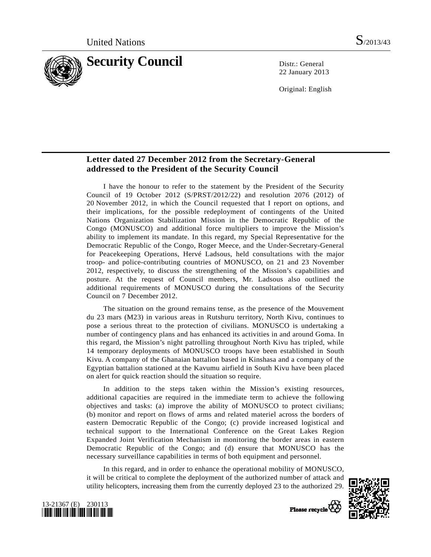

22 January 2013

Original: English

## **Letter dated 27 December 2012 from the Secretary-General addressed to the President of the Security Council**

 I have the honour to refer to the statement by the President of the Security Council of 19 October 2012 (S/PRST/2012/22) and resolution 2076 (2012) of 20 November 2012, in which the Council requested that I report on options, and their implications, for the possible redeployment of contingents of the United Nations Organization Stabilization Mission in the Democratic Republic of the Congo (MONUSCO) and additional force multipliers to improve the Mission's ability to implement its mandate. In this regard, my Special Representative for the Democratic Republic of the Congo, Roger Meece, and the Under-Secretary-General for Peacekeeping Operations, Hervé Ladsous, held consultations with the major troop- and police-contributing countries of MONUSCO, on 21 and 23 November 2012, respectively, to discuss the strengthening of the Mission's capabilities and posture. At the request of Council members, Mr. Ladsous also outlined the additional requirements of MONUSCO during the consultations of the Security Council on 7 December 2012.

 The situation on the ground remains tense, as the presence of the Mouvement du 23 mars (M23) in various areas in Rutshuru territory, North Kivu, continues to pose a serious threat to the protection of civilians. MONUSCO is undertaking a number of contingency plans and has enhanced its activities in and around Goma. In this regard, the Mission's night patrolling throughout North Kivu has tripled, while 14 temporary deployments of MONUSCO troops have been established in South Kivu. A company of the Ghanaian battalion based in Kinshasa and a company of the Egyptian battalion stationed at the Kavumu airfield in South Kivu have been placed on alert for quick reaction should the situation so require.

 In addition to the steps taken within the Mission's existing resources, additional capacities are required in the immediate term to achieve the following objectives and tasks: (a) improve the ability of MONUSCO to protect civilians; (b) monitor and report on flows of arms and related materiel across the borders of eastern Democratic Republic of the Congo; (c) provide increased logistical and technical support to the International Conference on the Great Lakes Region Expanded Joint Verification Mechanism in monitoring the border areas in eastern Democratic Republic of the Congo; and (d) ensure that MONUSCO has the necessary surveillance capabilities in terms of both equipment and personnel.

 In this regard, and in order to enhance the operational mobility of MONUSCO, it will be critical to complete the deployment of the authorized number of attack and utility helicopters, increasing them from the currently deployed 23 to the authorized 29.